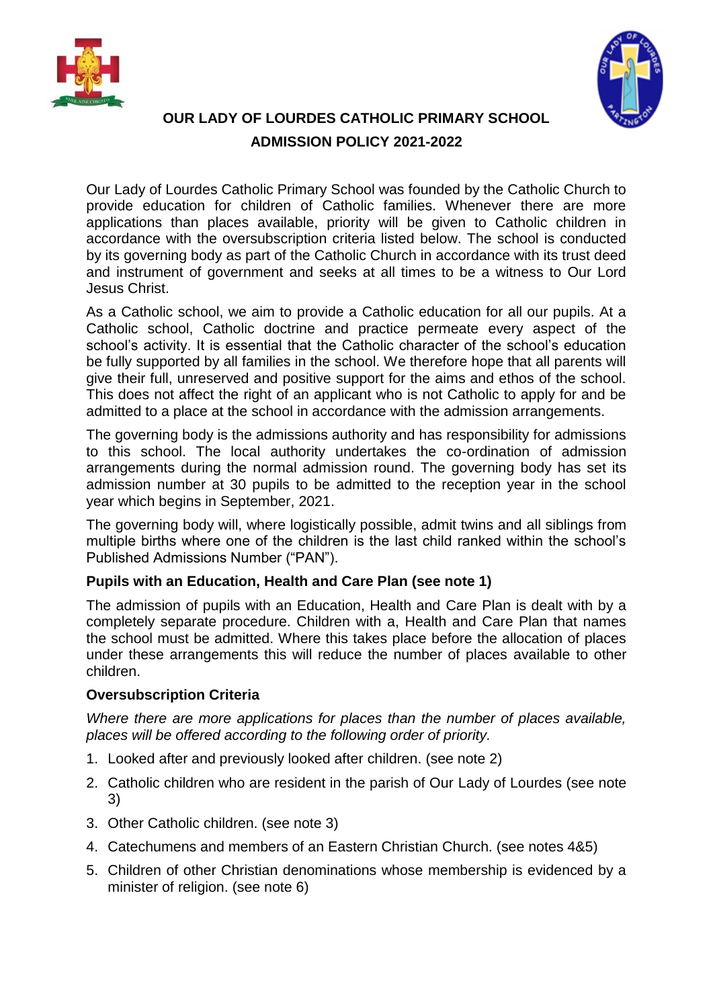



# **OUR LADY OF LOURDES CATHOLIC PRIMARY SCHOOL ADMISSION POLICY 2021-2022**

Our Lady of Lourdes Catholic Primary School was founded by the Catholic Church to provide education for children of Catholic families. Whenever there are more applications than places available, priority will be given to Catholic children in accordance with the oversubscription criteria listed below. The school is conducted by its governing body as part of the Catholic Church in accordance with its trust deed and instrument of government and seeks at all times to be a witness to Our Lord Jesus Christ.

As a Catholic school, we aim to provide a Catholic education for all our pupils. At a Catholic school, Catholic doctrine and practice permeate every aspect of the school's activity. It is essential that the Catholic character of the school's education be fully supported by all families in the school. We therefore hope that all parents will give their full, unreserved and positive support for the aims and ethos of the school. This does not affect the right of an applicant who is not Catholic to apply for and be admitted to a place at the school in accordance with the admission arrangements.

The governing body is the admissions authority and has responsibility for admissions to this school. The local authority undertakes the co-ordination of admission arrangements during the normal admission round. The governing body has set its admission number at 30 pupils to be admitted to the reception year in the school year which begins in September, 2021.

The governing body will, where logistically possible, admit twins and all siblings from multiple births where one of the children is the last child ranked within the school's Published Admissions Number ("PAN").

# **Pupils with an Education, Health and Care Plan (see note 1)**

The admission of pupils with an Education, Health and Care Plan is dealt with by a completely separate procedure. Children with a, Health and Care Plan that names the school must be admitted. Where this takes place before the allocation of places under these arrangements this will reduce the number of places available to other children.

# **Oversubscription Criteria**

*Where there are more applications for places than the number of places available, places will be offered according to the following order of priority.*

- 1. Looked after and previously looked after children. (see note 2)
- 2. Catholic children who are resident in the parish of Our Lady of Lourdes (see note 3)
- 3. Other Catholic children. (see note 3)
- 4. Catechumens and members of an Eastern Christian Church. (see notes 4&5)
- 5. Children of other Christian denominations whose membership is evidenced by a minister of religion. (see note 6)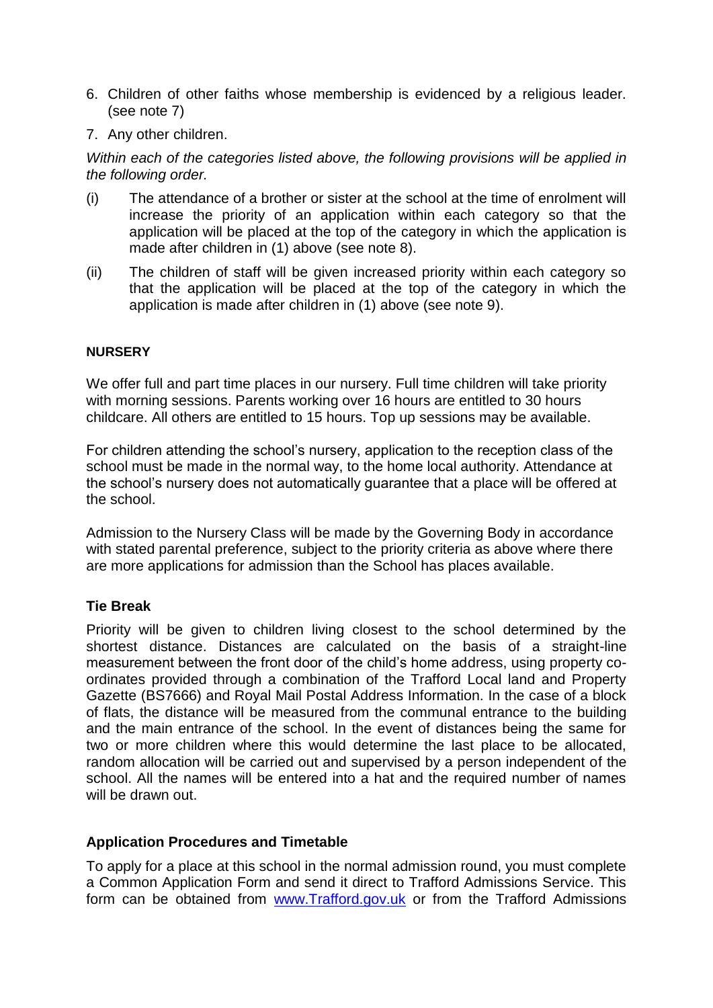- 6. Children of other faiths whose membership is evidenced by a religious leader. (see note 7)
- 7. Any other children.

*Within each of the categories listed above, the following provisions will be applied in the following order.*

- (i) The attendance of a brother or sister at the school at the time of enrolment will increase the priority of an application within each category so that the application will be placed at the top of the category in which the application is made after children in (1) above (see note 8).
- (ii) The children of staff will be given increased priority within each category so that the application will be placed at the top of the category in which the application is made after children in (1) above (see note 9).

#### **NURSERY**

We offer full and part time places in our nursery. Full time children will take priority with morning sessions. Parents working over 16 hours are entitled to 30 hours childcare. All others are entitled to 15 hours. Top up sessions may be available.

For children attending the school's nursery, application to the reception class of the school must be made in the normal way, to the home local authority. Attendance at the school's nursery does not automatically guarantee that a place will be offered at the school.

Admission to the Nursery Class will be made by the Governing Body in accordance with stated parental preference, subject to the priority criteria as above where there are more applications for admission than the School has places available.

## **Tie Break**

Priority will be given to children living closest to the school determined by the shortest distance. Distances are calculated on the basis of a straight-line measurement between the front door of the child's home address, using property coordinates provided through a combination of the Trafford Local land and Property Gazette (BS7666) and Royal Mail Postal Address Information. In the case of a block of flats, the distance will be measured from the communal entrance to the building and the main entrance of the school. In the event of distances being the same for two or more children where this would determine the last place to be allocated, random allocation will be carried out and supervised by a person independent of the school. All the names will be entered into a hat and the required number of names will be drawn out.

## **Application Procedures and Timetable**

To apply for a place at this school in the normal admission round, you must complete a Common Application Form and send it direct to Trafford Admissions Service. This form can be obtained from [www.Trafford.gov.uk](http://www.trafford.gov.uk/) or from the Trafford Admissions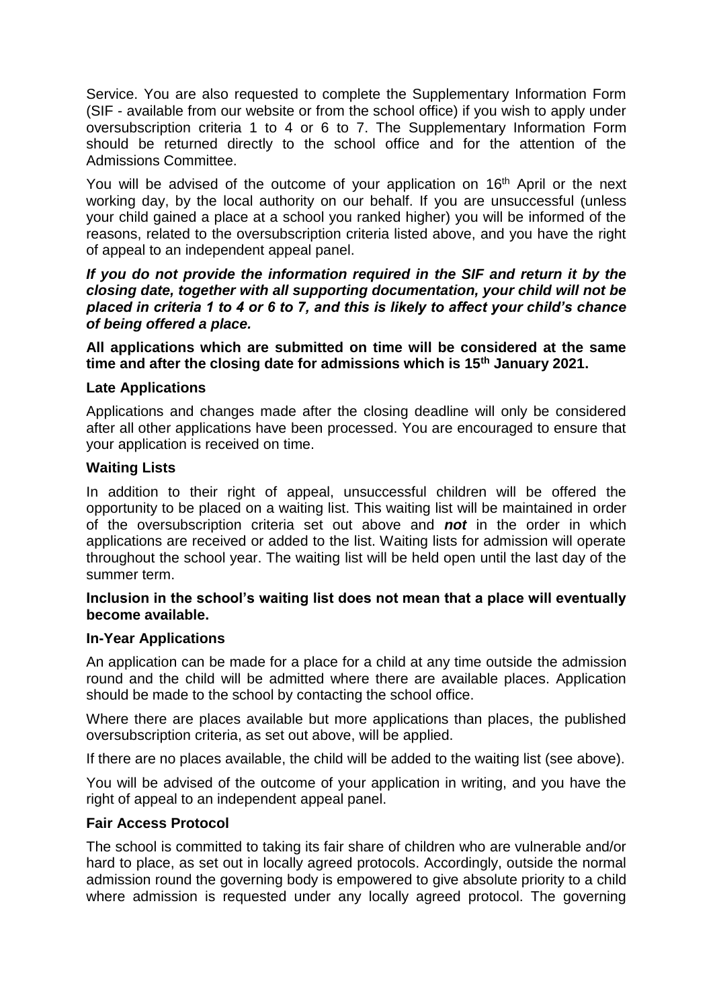Service. You are also requested to complete the Supplementary Information Form (SIF - available from our website or from the school office) if you wish to apply under oversubscription criteria 1 to 4 or 6 to 7. The Supplementary Information Form should be returned directly to the school office and for the attention of the Admissions Committee.

You will be advised of the outcome of your application on 16<sup>th</sup> April or the next working day, by the local authority on our behalf. If you are unsuccessful (unless your child gained a place at a school you ranked higher) you will be informed of the reasons, related to the oversubscription criteria listed above, and you have the right of appeal to an independent appeal panel.

*If you do not provide the information required in the SIF and return it by the closing date, together with all supporting documentation, your child will not be placed in criteria 1 to 4 or 6 to 7, and this is likely to affect your child's chance of being offered a place.*

**All applications which are submitted on time will be considered at the same time and after the closing date for admissions which is 15th January 2021.**

#### **Late Applications**

Applications and changes made after the closing deadline will only be considered after all other applications have been processed. You are encouraged to ensure that your application is received on time.

#### **Waiting Lists**

In addition to their right of appeal, unsuccessful children will be offered the opportunity to be placed on a waiting list. This waiting list will be maintained in order of the oversubscription criteria set out above and *not* in the order in which applications are received or added to the list. Waiting lists for admission will operate throughout the school year. The waiting list will be held open until the last day of the summer term.

## **Inclusion in the school's waiting list does not mean that a place will eventually become available.**

#### **In-Year Applications**

An application can be made for a place for a child at any time outside the admission round and the child will be admitted where there are available places. Application should be made to the school by contacting the school office.

Where there are places available but more applications than places, the published oversubscription criteria, as set out above, will be applied.

If there are no places available, the child will be added to the waiting list (see above).

You will be advised of the outcome of your application in writing, and you have the right of appeal to an independent appeal panel.

## **Fair Access Protocol**

The school is committed to taking its fair share of children who are vulnerable and/or hard to place, as set out in locally agreed protocols. Accordingly, outside the normal admission round the governing body is empowered to give absolute priority to a child where admission is requested under any locally agreed protocol. The governing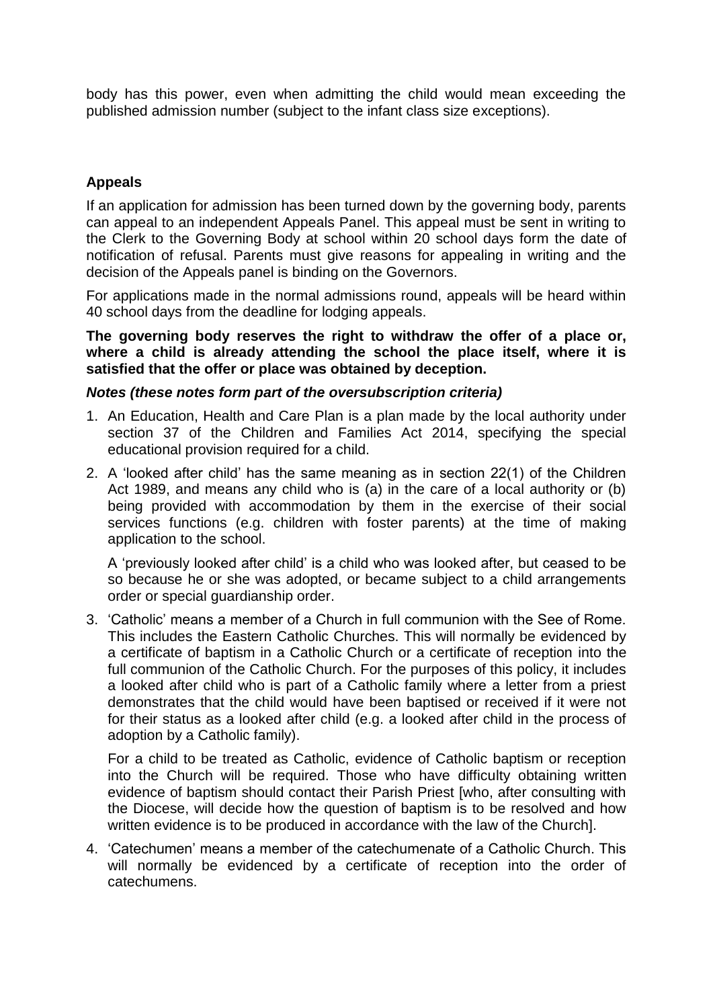body has this power, even when admitting the child would mean exceeding the published admission number (subject to the infant class size exceptions).

#### **Appeals**

If an application for admission has been turned down by the governing body, parents can appeal to an independent Appeals Panel. This appeal must be sent in writing to the Clerk to the Governing Body at school within 20 school days form the date of notification of refusal. Parents must give reasons for appealing in writing and the decision of the Appeals panel is binding on the Governors.

For applications made in the normal admissions round, appeals will be heard within 40 school days from the deadline for lodging appeals.

**The governing body reserves the right to withdraw the offer of a place or, where a child is already attending the school the place itself, where it is satisfied that the offer or place was obtained by deception.**

#### *Notes (these notes form part of the oversubscription criteria)*

- 1. An Education, Health and Care Plan is a plan made by the local authority under section 37 of the Children and Families Act 2014, specifying the special educational provision required for a child.
- 2. A 'looked after child' has the same meaning as in section 22(1) of the Children Act 1989, and means any child who is (a) in the care of a local authority or (b) being provided with accommodation by them in the exercise of their social services functions (e.g. children with foster parents) at the time of making application to the school.

A 'previously looked after child' is a child who was looked after, but ceased to be so because he or she was adopted, or became subject to a child arrangements order or special guardianship order.

3. 'Catholic' means a member of a Church in full communion with the See of Rome. This includes the Eastern Catholic Churches. This will normally be evidenced by a certificate of baptism in a Catholic Church or a certificate of reception into the full communion of the Catholic Church. For the purposes of this policy, it includes a looked after child who is part of a Catholic family where a letter from a priest demonstrates that the child would have been baptised or received if it were not for their status as a looked after child (e.g. a looked after child in the process of adoption by a Catholic family).

For a child to be treated as Catholic, evidence of Catholic baptism or reception into the Church will be required. Those who have difficulty obtaining written evidence of baptism should contact their Parish Priest [who, after consulting with the Diocese, will decide how the question of baptism is to be resolved and how written evidence is to be produced in accordance with the law of the Church].

4. 'Catechumen' means a member of the catechumenate of a Catholic Church. This will normally be evidenced by a certificate of reception into the order of catechumens.